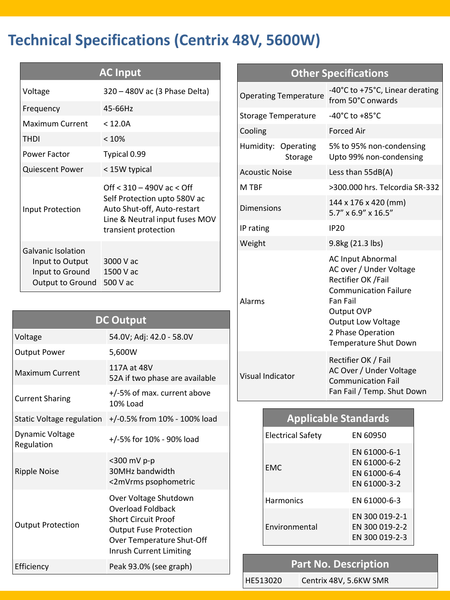# **Technical Specifications (Centrix 48V, 5600W)**

| <b>AC Input</b>                                                                     |                                                                                                                                                        |  |  |  |
|-------------------------------------------------------------------------------------|--------------------------------------------------------------------------------------------------------------------------------------------------------|--|--|--|
| Voltage                                                                             | 320 - 480V ac (3 Phase Delta)                                                                                                                          |  |  |  |
| Frequency                                                                           | 45-66Hz                                                                                                                                                |  |  |  |
| Maximum Current                                                                     | < 12.0A                                                                                                                                                |  |  |  |
| <b>THDI</b>                                                                         | < 10%                                                                                                                                                  |  |  |  |
| <b>Power Factor</b>                                                                 | Typical 0.99                                                                                                                                           |  |  |  |
| <b>Quiescent Power</b>                                                              | < 15W typical                                                                                                                                          |  |  |  |
| Input Protection                                                                    | Off $<$ 310 – 490V ac $<$ Off<br>Self Protection upto 580V ac<br>Auto Shut-off, Auto-restart<br>Line & Neutral input fuses MOV<br>transient protection |  |  |  |
| Galvanic Isolation<br>Input to Output<br>Input to Ground<br><b>Output to Ground</b> | 3000 V ac<br>1500 V ac<br>500 V ac                                                                                                                     |  |  |  |

| <b>DC Output</b>                     |                                                                                                                                                                          |  |  |  |
|--------------------------------------|--------------------------------------------------------------------------------------------------------------------------------------------------------------------------|--|--|--|
| Voltage                              | 54.0V; Adj: 42.0 - 58.0V                                                                                                                                                 |  |  |  |
| <b>Output Power</b>                  | 5,600W                                                                                                                                                                   |  |  |  |
| <b>Maximum Current</b>               | 117A at 48V<br>52A if two phase are available                                                                                                                            |  |  |  |
| <b>Current Sharing</b>               | +/-5% of max. current above<br>10% Load                                                                                                                                  |  |  |  |
| Static Voltage regulation            | +/-0.5% from 10% - 100% load                                                                                                                                             |  |  |  |
| <b>Dynamic Voltage</b><br>Regulation | +/-5% for 10% - 90% load                                                                                                                                                 |  |  |  |
| <b>Ripple Noise</b>                  | $<$ 300 mV p-p<br>30MHz bandwidth<br><2mVrms psophometric                                                                                                                |  |  |  |
| <b>Output Protection</b>             | Over Voltage Shutdown<br><b>Overload Foldback</b><br><b>Short Circuit Proof</b><br><b>Output Fuse Protection</b><br>Over Temperature Shut-Off<br>Inrush Current Limiting |  |  |  |
| Efficiency                           | Peak 93.0% (see graph)                                                                                                                                                   |  |  |  |

## **Other Specifications**

| <b>Operating Temperature</b>   | -40°C to +75°C, Linear derating<br>from 50°C onwards                                                                                                                                                    |  |  |  |  |
|--------------------------------|---------------------------------------------------------------------------------------------------------------------------------------------------------------------------------------------------------|--|--|--|--|
| Storage Temperature            | -40°C to $+85$ °C                                                                                                                                                                                       |  |  |  |  |
| Cooling                        | <b>Forced Air</b>                                                                                                                                                                                       |  |  |  |  |
| Humidity: Operating<br>Storage | 5% to 95% non-condensing<br>Upto 99% non-condensing                                                                                                                                                     |  |  |  |  |
| <b>Acoustic Noise</b>          | Less than 55dB(A)                                                                                                                                                                                       |  |  |  |  |
| M TBF                          | >300.000 hrs. Telcordia SR-332                                                                                                                                                                          |  |  |  |  |
| Dimensions                     | 144 x 176 x 420 (mm)<br>$5.7''$ x $6.9''$ x $16.5''$                                                                                                                                                    |  |  |  |  |
| IP rating                      | <b>IP20</b>                                                                                                                                                                                             |  |  |  |  |
| Weight                         | 9.8kg (21.3 lbs)                                                                                                                                                                                        |  |  |  |  |
| Alarms                         | <b>AC Input Abnormal</b><br>AC over / Under Voltage<br>Rectifier OK /Fail<br><b>Communication Failure</b><br>Fan Fail<br>Output OVP<br>Output Low Voltage<br>2 Phase Operation<br>Temperature Shut Down |  |  |  |  |
| <b>Visual Indicator</b>        | Rectifier OK / Fail<br>AC Over / Under Voltage<br><b>Communication Fail</b><br>Fan Fail / Temp. Shut Down                                                                                               |  |  |  |  |

| <b>Applicable Standards</b> |                                                              |  |  |  |  |
|-----------------------------|--------------------------------------------------------------|--|--|--|--|
| Electrical Safety           | <b>FN 60950</b>                                              |  |  |  |  |
| <b>FMC</b>                  | EN 61000-6-1<br>FN 61000-6-2<br>FN 61000-6-4<br>FN 61000-3-2 |  |  |  |  |
| <b>Harmonics</b>            | EN 61000-6-3                                                 |  |  |  |  |
| <b>Fnvironmental</b>        | EN 300 019-2-1<br>EN 300 019-2-2<br>EN 300 019-2-3           |  |  |  |  |

#### **Part No. Description**

HE513020 Centrix 48V, 5.6KW SMR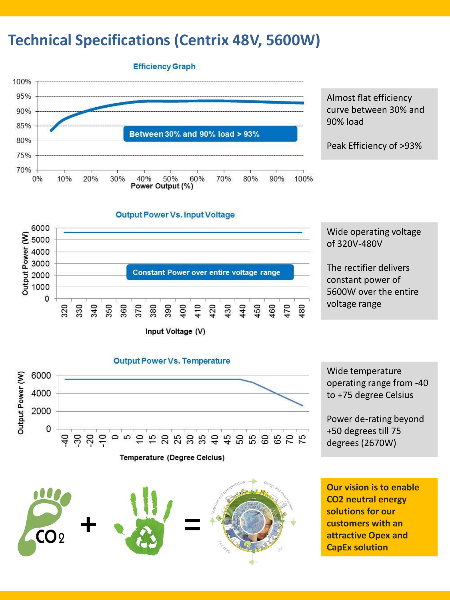## **Technical Specifications (Centrix 48V, 5600W)**

**Efficiency Graph** 



Almost flat efficiency curve between 30% and 90% load

Peak Efficiency of >93%



Wide operating voltage of 320V-480V

The rectifier delivers constant power of 5600W over the entire voltage range

**Output Power Vs. Temperature** Output Power (W) 6000 4000 2000 0 **# 8 \$ 8 \$ 5 \$** వె ສ ្  $\approx$  $\approx$  $\frac{15}{22}$ Temperature (Degree Celcius)

Wide temperature operating range from -40 to +75 degree Celsius

Power de-rating beyond +50 degrees till 75 degrees (2670W)

**+ =**  $CO<sub>2</sub>$ 

**Our vision is to enable CO2 neutral energy solutions for our customers with an attractive Opex and CapEx solution**